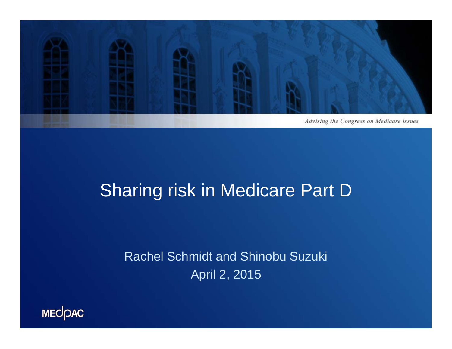

#### Sharing risk in Medicare Part D

Rachel Schmidt and Shinobu Suzuki April 2, 2015

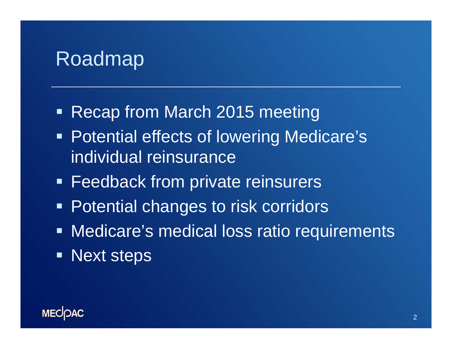#### Roadmap

- Recap from March 2015 meeting
- **Potential effects of lowering Medicare's** individual reinsurance
- **Feedback from private reinsurers**
- **Potential changes to risk corridors**
- **Medicare's medical loss ratio requirements**
- **Next steps**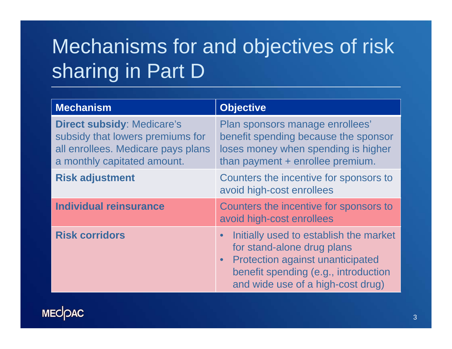# Mechanisms for and objectives of risk sharing in Part D

| <b>Mechanism</b>                                                                                                                           | <b>Objective</b>                                                                                                                                                                                          |  |
|--------------------------------------------------------------------------------------------------------------------------------------------|-----------------------------------------------------------------------------------------------------------------------------------------------------------------------------------------------------------|--|
| <b>Direct subsidy: Medicare's</b><br>subsidy that lowers premiums for<br>all enrollees. Medicare pays plans<br>a monthly capitated amount. | Plan sponsors manage enrollees'<br>benefit spending because the sponsor<br>loses money when spending is higher<br>than payment + enrollee premium.                                                        |  |
| <b>Risk adjustment</b>                                                                                                                     | Counters the incentive for sponsors to<br>avoid high-cost enrollees                                                                                                                                       |  |
| <b>Individual reinsurance</b>                                                                                                              | Counters the incentive for sponsors to<br>avoid high-cost enrollees                                                                                                                                       |  |
| <b>Risk corridors</b>                                                                                                                      | Initially used to establish the market<br>for stand-alone drug plans<br><b>Protection against unanticipated</b><br>$\bullet$<br>benefit spending (e.g., introduction<br>and wide use of a high-cost drug) |  |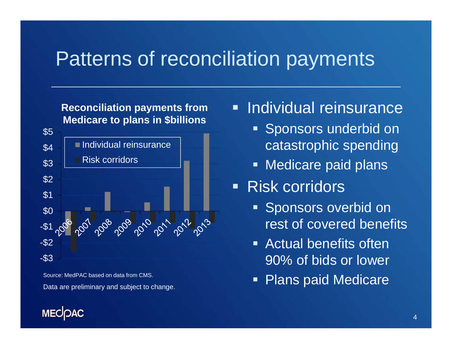#### Patterns of reconciliation payments

#### **Reconciliation payments from Medicare to plans in \$billions**



Source: MedPAC based on data from CMS.Data are preliminary and subject to change.

#### **MECOAC**

#### Г Individual reinsurance

- **Sponsors underbid on** catastrophic spending
- **Medicare paid plans**
- Risk corridors
	- **Sponsors overbid on** rest of covered benefits
	- **Example 21 Actual benefits often** 90% of bids or lower
	- Ξ Plans paid Medicare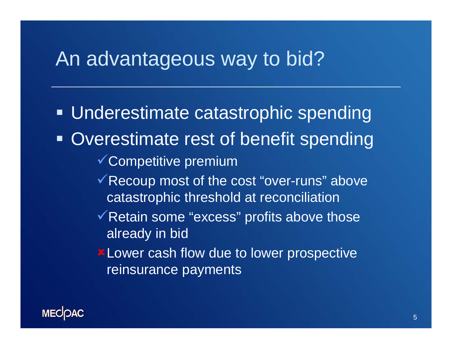#### An advantageous way to bid?

 Underestimate catastrophic spending **- Overestimate rest of benefit spending** Competitive premium Recoup most of the cost "over-runs" above catastrophic threshold at reconciliation  $\checkmark$  Retain some "excess" profits above those already in bid **\*Lower cash flow due to lower prospective** reinsurance payments

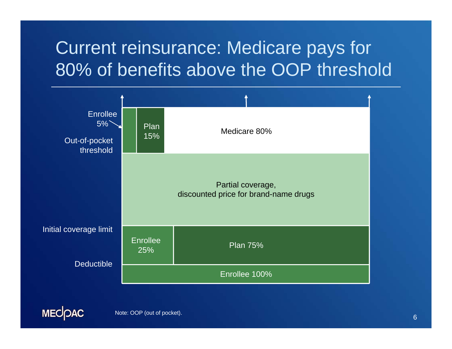## Current reinsurance: Medicare pays for 80% of benefits above the OOP threshold



Note: OOP (out of pocket).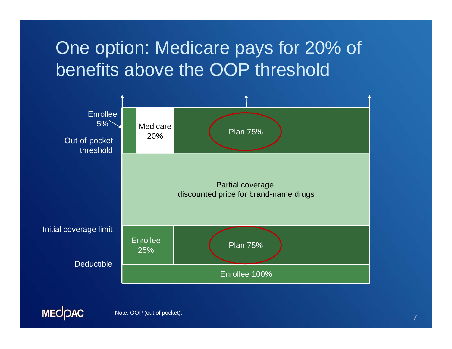## One option: Medicare pays for 20% of benefits above the OOP threshold



Note: OOP (out of pocket).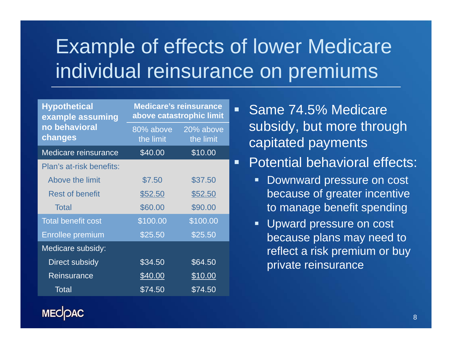# Example of effects of lower Medicare individual reinsurance on premiums

| <b>Hypothetical</b><br>example assuming<br>no behavioral<br>changes | <b>Medicare's reinsurance</b><br>above catastrophic limit |                        |
|---------------------------------------------------------------------|-----------------------------------------------------------|------------------------|
|                                                                     | 80% above<br>the limit                                    | 20% above<br>the limit |
| Medicare reinsurance                                                | \$40.00                                                   | \$10.00                |
| Plan's at-risk benefits:                                            |                                                           |                        |
| Above the limit                                                     | \$7.50                                                    | \$37.50                |
| <b>Rest of benefit</b>                                              | \$52.50                                                   | \$52.50                |
| <b>Total</b>                                                        | \$60.00                                                   | \$90.00                |
| <b>Total benefit cost</b>                                           | \$100.00                                                  | \$100.00               |
| <b>Enrollee premium</b>                                             | \$25.50                                                   | \$25.50                |
| Medicare subsidy:                                                   |                                                           |                        |
| Direct subsidy                                                      | \$34.50                                                   | \$64.50                |
| Reinsurance                                                         | \$40.00                                                   | \$10.00                |
| Total                                                               | \$74.50                                                   | \$74.50                |

- **Same 74.5% Medicare** subsidy, but more through capitated payments
- $\blacksquare$  Potential behavioral effects:
	- $\blacksquare$  Downward pressure on cost because of greater incentive to manage benefit spending
	- **Upward pressure on cost** because plans may need to reflect a risk premium or buy private reinsurance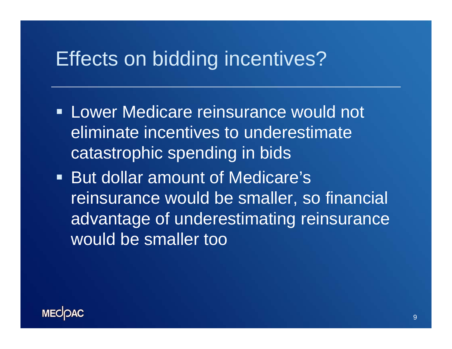### Effects on bidding incentives?

- **EXECTE:** Lower Medicare reinsurance would not eliminate incentives to underestimate catastrophic spending in bids
- But dollar amount of Medicare's reinsurance would be smaller, so financial advantage of underestimating reinsurance would be smaller too

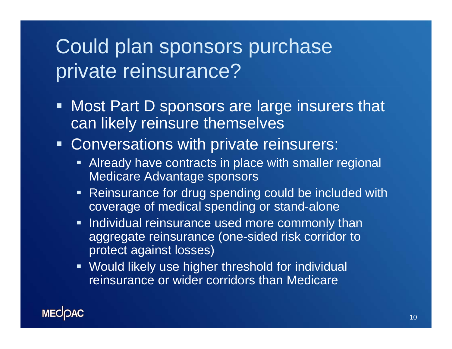# Could plan sponsors purchase private reinsurance?

- н. Most Part D sponsors are large insurers that can likely reinsure themselves
- **Conversations with private reinsurers:** 
	- Already have contracts in place with smaller regional Medicare Advantage sponsors
	- Reinsurance for drug spending could be included with coverage of medical spending or stand-alone
	- $\blacksquare$  Individual reinsurance used more commonly than aggregate reinsurance (one-sided risk corridor to protect against losses)
	- Would likely use higher threshold for individual reinsurance or wider corridors than Medicare

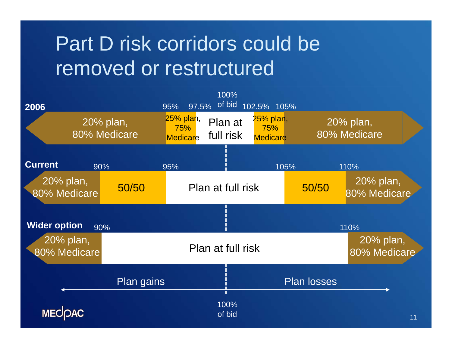# Part D risk corridors could be removed or restructured

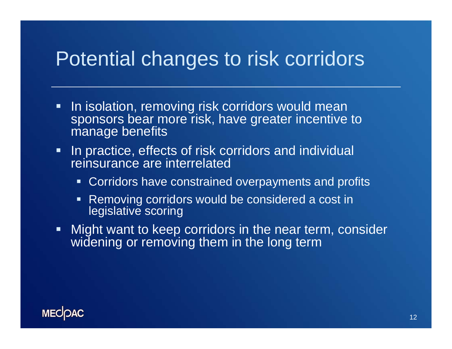#### Potential changes to risk corridors

- $\blacksquare$  In isolation, removing risk corridors would mean sponsors bear more risk, have greater incentive to manage benefits
- $\blacksquare$  In practice, effects of risk corridors and individual reinsurance are interrelated
	- **EXPCORTIGORY CONSTANCE CONSTANCE IN A CONTEX CONTEX INCOCO FIG. 7** CONTIGUTE: **CONTIGATE:** CONTIGUTE: CONTIGUTE: CONTIGUTE: CONTIGUTE: CONTIGUTE: CONTIGUTE: CONTIGUTE: CONTIGUTE: CONTIGUTE: CONTIGUTE: CONTIGUTE: CONTIGUTE
	- $\blacksquare$  . Removing corridors would be considered a cost in legislative scoring
- $\blacksquare$  Might want to keep corridors in the near term, consider widening or removing them in the long term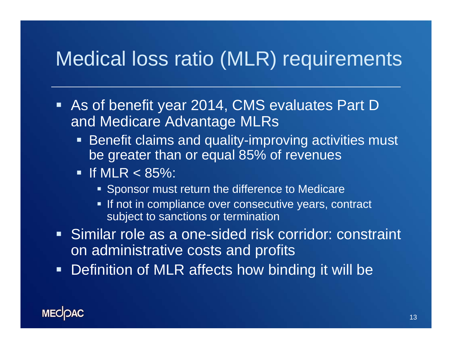### Medical loss ratio (MLR) requirements

- As of benefit year 2014, CMS evaluates Part D and Medicare Advantage MLRs
	- **Benefit claims and quality-improving activities must** be greater than or equal 85% of revenues
	- If MLR  $<$  85%:
		- **Sponsor must return the difference to Medicare**
		- **If not in compliance over consecutive years, contract** subject to sanctions or termination
- Similar role as a one-sided risk corridor: constraint on administrative costs and profits
- $\blacksquare$ Definition of MLR affects how binding it will be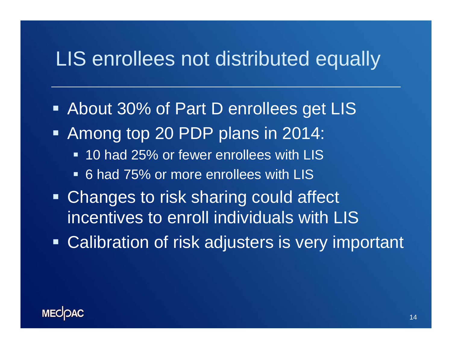### LIS enrollees not distributed equally

 About 30% of Part D enrollees get LIS Among top 20 PDP plans in 2014: 10 had 25% or fewer enrollees with LIS 6 had 75% or more enrollees with LIS**- Changes to risk sharing could affect** incentives to enroll individuals with LISCalibration of risk adjusters is very important